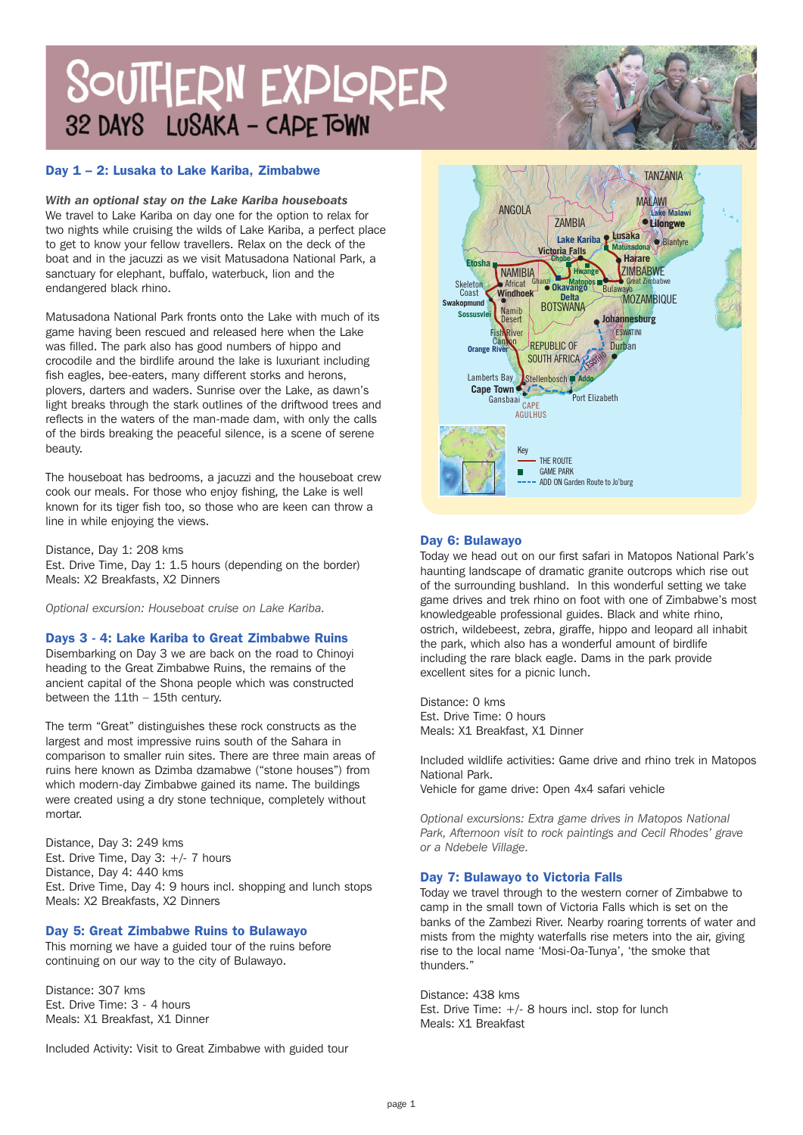# SOUTHERN EXPLORER 32 DAYS LUSAKA - CAPE TOWN

# **Day 1 – 2: Lusaka to Lake Kariba, Zimbabwe**

*With an optional stay on the Lake Kariba houseboats* We travel to Lake Kariba on day one for the option to relax for two nights while cruising the wilds of Lake Kariba, a perfect place to get to know your fellow travellers. Relax on the deck of the boat and in the jacuzzi as we visit Matusadona National Park, a sanctuary for elephant, buffalo, waterbuck, lion and the endangered black rhino.

Matusadona National Park fronts onto the Lake with much of its game having been rescued and released here when the Lake was filled. The park also has good numbers of hippo and crocodile and the birdlife around the lake is luxuriant including fish eagles, bee-eaters, many different storks and herons, plovers, darters and waders. Sunrise over the Lake, as dawn's light breaks through the stark outlines of the driftwood trees and reflects in the waters of the man-made dam, with only the calls of the birds breaking the peaceful silence, is a scene of serene beauty.

The houseboat has bedrooms, a jacuzzi and the houseboat crew cook our meals. For those who enjoy fishing, the Lake is well known for its tiger fish too, so those who are keen can throw a line in while enjoying the views.

Distance, Day 1: 208 kms Est. Drive Time, Day 1: 1.5 hours (depending on the border) Meals: X2 Breakfasts, X2 Dinners

*Optional excursion: Houseboat cruise on Lake Kariba.*

#### **Days 3 - 4: Lake Kariba to Great Zimbabwe Ruins**

Disembarking on Day 3 we are back on the road to Chinoyi heading to the Great Zimbabwe Ruins, the remains of the ancient capital of the Shona people which was constructed between the 11th – 15th century.

The term "Great" distinguishes these rock constructs as the largest and most impressive ruins south of the Sahara in comparison to smaller ruin sites. There are three main areas of ruins here known as Dzimba dzamabwe ("stone houses") from which modern-day Zimbabwe gained its name. The buildings were created using a dry stone technique, completely without mortar.

Distance, Day 3: 249 kms Est. Drive Time, Day 3: +/- 7 hours Distance, Day 4: 440 kms Est. Drive Time, Day 4: 9 hours incl. shopping and lunch stops Meals: X2 Breakfasts, X2 Dinners

# **Day 5: Great Zimbabwe Ruins to Bulawayo**

This morning we have a guided tour of the ruins before continuing on our way to the city of Bulawayo.

Distance: 307 kms Est. Drive Time: 3 - 4 hours Meals: X1 Breakfast, X1 Dinner

Included Activity: Visit to Great Zimbabwe with guided tour



# **Day 6: Bulawayo**

Today we head out on our first safari in Matopos National Park's haunting landscape of dramatic granite outcrops which rise out of the surrounding bushland. In this wonderful setting we take game drives and trek rhino on foot with one of Zimbabwe's most knowledgeable professional guides. Black and white rhino, ostrich, wildebeest, zebra, giraffe, hippo and leopard all inhabit the park, which also has a wonderful amount of birdlife including the rare black eagle. Dams in the park provide excellent sites for a picnic lunch.

Distance: 0 kms Est. Drive Time: 0 hours Meals: X1 Breakfast, X1 Dinner

Included wildlife activities: Game drive and rhino trek in Matopos National Park.

Vehicle for game drive: Open 4x4 safari vehicle

*Optional excursions: Extra game drives in Matopos National Park, Afternoon visit to rock paintings and Cecil Rhodes' grave or a Ndebele Village.*

# **Day 7: Bulawayo to Victoria Falls**

Today we travel through to the western corner of Zimbabwe to camp in the small town of Victoria Falls which is set on the banks of the Zambezi River. Nearby roaring torrents of water and mists from the mighty waterfalls rise meters into the air, giving rise to the local name 'Mosi-Oa-Tunya', 'the smoke that thunders."

Distance: 438 kms Est. Drive Time:  $+/-$  8 hours incl. stop for lunch Meals: X1 Breakfast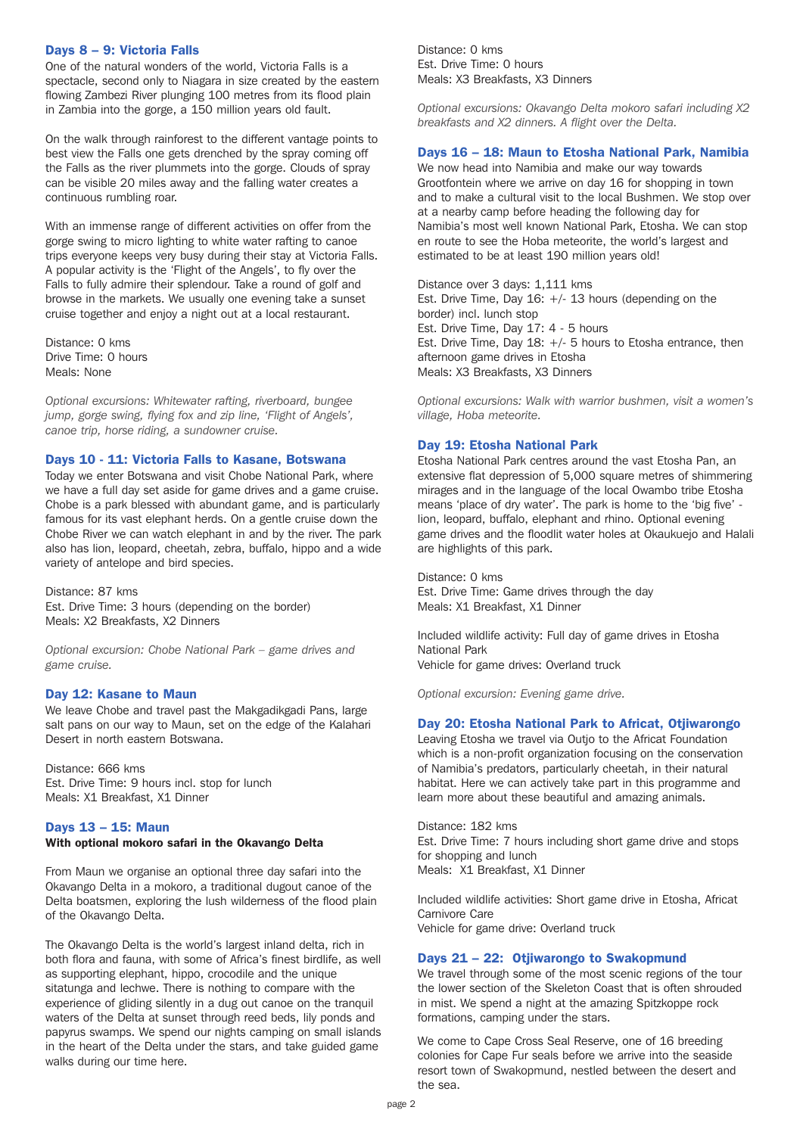# **Days 8 – 9: Victoria Falls**

One of the natural wonders of the world, Victoria Falls is a spectacle, second only to Niagara in size created by the eastern flowing Zambezi River plunging 100 metres from its flood plain in Zambia into the gorge, a 150 million years old fault.

On the walk through rainforest to the different vantage points to best view the Falls one gets drenched by the spray coming off the Falls as the river plummets into the gorge. Clouds of spray can be visible 20 miles away and the falling water creates a continuous rumbling roar.

With an immense range of different activities on offer from the gorge swing to micro lighting to white water rafting to canoe trips everyone keeps very busy during their stay at Victoria Falls. A popular activity is the 'Flight of the Angels', to fly over the Falls to fully admire their splendour. Take a round of golf and browse in the markets. We usually one evening take a sunset cruise together and enjoy a night out at a local restaurant.

Distance: 0 kms Drive Time: 0 hours Meals: None

*Optional excursions: Whitewater rafting, riverboard, bungee jump, gorge swing, flying fox and zip line, 'Flight of Angels', canoe trip, horse riding, a sundowner cruise.*

#### **Days 10 - 11: Victoria Falls to Kasane, Botswana**

Today we enter Botswana and visit Chobe National Park, where we have a full day set aside for game drives and a game cruise. Chobe is a park blessed with abundant game, and is particularly famous for its vast elephant herds. On a gentle cruise down the Chobe River we can watch elephant in and by the river. The park also has lion, leopard, cheetah, zebra, buffalo, hippo and a wide variety of antelope and bird species.

Distance: 87 kms Est. Drive Time: 3 hours (depending on the border) Meals: X2 Breakfasts, X2 Dinners

*Optional excursion: Chobe National Park – game drives and game cruise.*

#### **Day 12: Kasane to Maun**

We leave Chobe and travel past the Makgadikgadi Pans, large salt pans on our way to Maun, set on the edge of the Kalahari Desert in north eastern Botswana.

Distance: 666 kms Est. Drive Time: 9 hours incl. stop for lunch Meals: X1 Breakfast, X1 Dinner

#### **Days 13 – 15: Maun**

#### **With optional mokoro safari in the Okavango Delta**

From Maun we organise an optional three day safari into the Okavango Delta in a mokoro, a traditional dugout canoe of the Delta boatsmen, exploring the lush wilderness of the flood plain of the Okavango Delta.

The Okavango Delta is the world's largest inland delta, rich in both flora and fauna, with some of Africa's finest birdlife, as well as supporting elephant, hippo, crocodile and the unique sitatunga and lechwe. There is nothing to compare with the experience of gliding silently in a dug out canoe on the tranquil waters of the Delta at sunset through reed beds, lily ponds and papyrus swamps. We spend our nights camping on small islands in the heart of the Delta under the stars, and take guided game walks during our time here.

Distance: 0 kms Est. Drive Time: 0 hours Meals: X3 Breakfasts, X3 Dinners

*Optional excursions: Okavango Delta mokoro safari including X2 breakfasts and X2 dinners. A flight over the Delta.*

#### **Days 16 – 18: Maun to Etosha National Park, Namibia**

We now head into Namibia and make our way towards Grootfontein where we arrive on day 16 for shopping in town and to make a cultural visit to the local Bushmen. We stop over at a nearby camp before heading the following day for Namibia's most well known National Park, Etosha. We can stop en route to see the Hoba meteorite, the world's largest and estimated to be at least 190 million years old!

Distance over 3 days: 1,111 kms Est. Drive Time, Day 16: +/- 13 hours (depending on the border) incl. lunch stop Est. Drive Time, Day 17: 4 - 5 hours Est. Drive Time, Day  $18: +/- 5$  hours to Etosha entrance, then afternoon game drives in Etosha Meals: X3 Breakfasts, X3 Dinners

*Optional excursions: Walk with warrior bushmen, visit a women's village, Hoba meteorite.*

#### **Day 19: Etosha National Park**

Etosha National Park centres around the vast Etosha Pan, an extensive flat depression of 5,000 square metres of shimmering mirages and in the language of the local Owambo tribe Etosha means 'place of dry water'. The park is home to the 'big five' lion, leopard, buffalo, elephant and rhino. Optional evening game drives and the floodlit water holes at Okaukuejo and Halali are highlights of this park.

Distance: 0 kms Est. Drive Time: Game drives through the day Meals: X1 Breakfast, X1 Dinner

Included wildlife activity: Full day of game drives in Etosha National Park Vehicle for game drives: Overland truck

*Optional excursion: Evening game drive.*

#### **Day 20: Etosha National Park to Africat, Otjiwarongo**

Leaving Etosha we travel via Outjo to the Africat Foundation which is a non-profit organization focusing on the conservation of Namibia's predators, particularly cheetah, in their natural habitat. Here we can actively take part in this programme and learn more about these beautiful and amazing animals.

Distance: 182 kms Est. Drive Time: 7 hours including short game drive and stops for shopping and lunch Meals: X1 Breakfast, X1 Dinner

Included wildlife activities: Short game drive in Etosha, Africat Carnivore Care Vehicle for game drive: Overland truck

#### **Days 21 – 22: Otjiwarongo to Swakopmund**

We travel through some of the most scenic regions of the tour the lower section of the Skeleton Coast that is often shrouded in mist. We spend a night at the amazing Spitzkoppe rock formations, camping under the stars.

We come to Cape Cross Seal Reserve, one of 16 breeding colonies for Cape Fur seals before we arrive into the seaside resort town of Swakopmund, nestled between the desert and the sea.